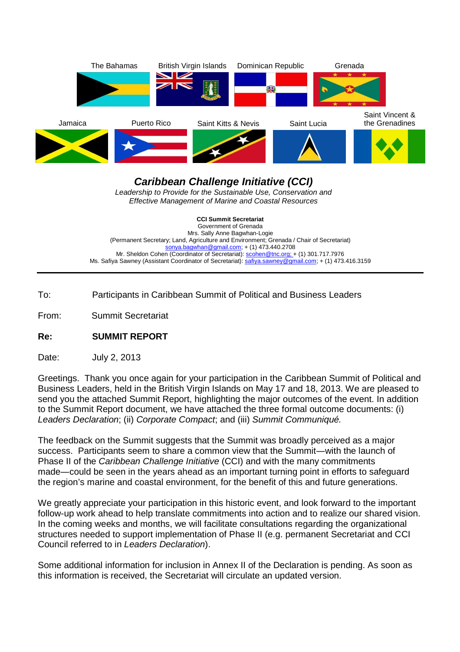

**Caribbean Challenge Initiative (CCI)**  Leadership to Provide for the Sustainable Use, Conservation and Effective Management of Marine and Coastal Resources

**CCI Summit Secretariat**  Government of Grenada Mrs. Sally Anne Bagwhan-Logie (Permanent Secretary; Land, Agriculture and Environment; Grenada / Chair of Secretariat) sonya.bagwhan@gmail.com; + (1) 473.440.2708 Mr. Sheldon Cohen (Coordinator of Secretariat): scohen@tnc.org; + (1) 301.717.7976 Ms. Safiya Sawney (Assistant Coordinator of Secretariat): safiya.sawney@gmail.com; + (1) 473.416.3159

To: Participants in Caribbean Summit of Political and Business Leaders

From: Summit Secretariat

**Re: SUMMIT REPORT** 

Date: July 2, 2013

Greetings. Thank you once again for your participation in the Caribbean Summit of Political and Business Leaders, held in the British Virgin Islands on May 17 and 18, 2013. We are pleased to send you the attached Summit Report, highlighting the major outcomes of the event. In addition to the Summit Report document, we have attached the three formal outcome documents: (i) Leaders Declaration; (ii) Corporate Compact; and (iii) Summit Communiqué.

The feedback on the Summit suggests that the Summit was broadly perceived as a major success. Participants seem to share a common view that the Summit―with the launch of Phase II of the Caribbean Challenge Initiative (CCI) and with the many commitments made―could be seen in the years ahead as an important turning point in efforts to safeguard the region's marine and coastal environment, for the benefit of this and future generations.

We greatly appreciate your participation in this historic event, and look forward to the important follow-up work ahead to help translate commitments into action and to realize our shared vision. In the coming weeks and months, we will facilitate consultations regarding the organizational structures needed to support implementation of Phase II (e.g. permanent Secretariat and CCI Council referred to in Leaders Declaration).

Some additional information for inclusion in Annex II of the Declaration is pending. As soon as this information is received, the Secretariat will circulate an updated version.